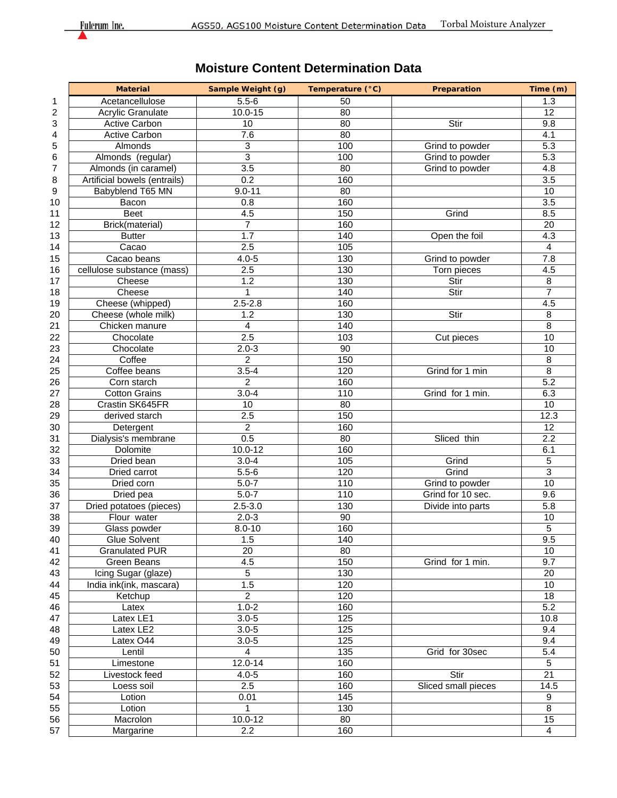## **Moisture Content Determination Data**

|    | <b>Material</b>              | Sample Weight (g) | Temperature (°C) | Preparation         | Time (m)         |
|----|------------------------------|-------------------|------------------|---------------------|------------------|
| 1  | Acetancellulose              | $5.5 - 6$         | 50               |                     | 1.3              |
| 2  | <b>Acrylic Granulate</b>     | $10.0 - 15$       | 80               |                     | 12               |
| 3  | <b>Active Carbon</b>         | 10                | 80               | Stir                | 9.8              |
| 4  | <b>Active Carbon</b>         | 7.6               | $\overline{80}$  |                     | 4.1              |
| 5  | Almonds                      | 3                 | 100              | Grind to powder     | 5.3              |
| 6  | Almonds (regular)            | 3                 | 100              | Grind to powder     | 5.3              |
| 7  | Almonds (in caramel)         | 3.5               | 80               | Grind to powder     | 4.8              |
| 8  | Artificial bowels (entrails) | 0.2               | 160              |                     | 3.5              |
| 9  | Babyblend T65 MN             | $9.0 - 11$        | 80               |                     | 10               |
| 10 | Bacon                        | 0.8               | 160              |                     | 3.5              |
| 11 | <b>Beet</b>                  | 4.5               | 150              | Grind               | 8.5              |
| 12 | Brick(material)              | $\overline{7}$    | 160              |                     | 20               |
| 13 | <b>Butter</b>                | $\overline{1.7}$  | 140              | Open the foil       | $\overline{4.3}$ |
| 14 | Cacao                        | 2.5               | 105              |                     | 4                |
| 15 | Cacao beans                  | $4.0 - 5$         | 130              | Grind to powder     | 7.8              |
| 16 | cellulose substance (mass)   | 2.5               | 130              | Torn pieces         | 4.5              |
| 17 | Cheese                       | 1.2               | 130              | Stir                | 8                |
| 18 | Cheese                       | 1                 | 140              | Stir                | $\overline{7}$   |
| 19 | Cheese (whipped)             | $2.5 - 2.8$       | 160              |                     | 4.5              |
| 20 | Cheese (whole milk)          | 1.2               | 130              | Stir                | 8                |
| 21 | Chicken manure               | 4                 | 140              |                     | 8                |
| 22 | Chocolate                    | 2.5               | 103              | Cut pieces          | 10               |
| 23 | Chocolate                    | $2.0 - 3$         | 90               |                     | 10               |
| 24 | Coffee                       | $\overline{a}$    | 150              |                     | 8                |
| 25 | Coffee beans                 | $3.5 - 4$         | 120              | Grind for 1 min     | $\overline{8}$   |
| 26 | Corn starch                  | $\overline{2}$    | 160              |                     | 5.2              |
| 27 | <b>Cotton Grains</b>         | $3.0 - 4$         | 110              | Grind for 1 min.    | 6.3              |
| 28 | Crastin SK645FR              | 10                | 80               |                     | 10               |
| 29 | derived starch               | 2.5               | 150              |                     | 12.3             |
|    |                              |                   |                  |                     | 12               |
| 30 | Detergent                    | $\overline{c}$    | 160              |                     |                  |
| 31 | Dialysis's membrane          | 0.5               | 80               | Sliced thin         | 2.2              |
| 32 | Dolomite                     | $10.0 - 12$       | 160              |                     | 6.1              |
| 33 | Dried bean                   | $3.0 - 4$         | 105              | Grind               | 5                |
| 34 | Dried carrot                 | $5.5 - 6$         | 120              | Grind               | 3                |
| 35 | Dried corn                   | $5.0 - 7$         | 110              | Grind to powder     | 10               |
| 36 | Dried pea                    | $5.0 - 7$         | 110              | Grind for 10 sec.   | 9.6              |
| 37 | Dried potatoes (pieces)      | $2.5 - 3.0$       | 130              | Divide into parts   | 5.8              |
| 38 | Flour water                  | $2.0 - 3$         | 90               |                     | 10               |
| 39 | Glass powder                 | $8.0 - 10$        | 160              |                     | 5                |
| 40 | Glue Solvent                 | 1.5               | 140              |                     | 9.5              |
| 41 | <b>Granulated PUR</b>        | 20                | 80               |                     | 10               |
| 42 | Green Beans                  | 4.5               | 150              | Grind for 1 min.    | $\overline{9.7}$ |
| 43 | Icing Sugar (glaze)          | 5                 | 130              |                     | 20               |
| 44 | India ink(ink, mascara)      | 1.5               | 120              |                     | 10               |
| 45 | Ketchup                      | $\overline{c}$    | 120              |                     | 18               |
| 46 | Latex                        | $1.0 - 2$         | 160              |                     | 5.2              |
| 47 | Latex LE1                    | $3.0 - 5$         | 125              |                     | 10.8             |
| 48 | Latex LE2                    | $3.0 - 5$         | 125              |                     | 9.4              |
| 49 | Latex O44                    | $3.0 - 5$         | 125              |                     | 9.4              |
| 50 | Lentil                       | $\overline{4}$    | 135              | Grid for 30sec      | 5.4              |
| 51 | Limestone                    | 12.0-14           | 160              |                     | 5                |
| 52 | Livestock feed               | $4.0 - 5$         | 160              | Stir                | 21               |
| 53 | Loess soil                   | 2.5               | 160              | Sliced small pieces | 14.5             |
| 54 | Lotion                       | 0.01              | 145              |                     | 9                |
| 55 | Lotion                       | 1                 | 130              |                     | $\overline{8}$   |
| 56 | Macrolon                     | $10.0 - 12$       | 80               |                     | 15               |
| 57 | Margarine                    | 2.2               | 160              |                     | 4                |